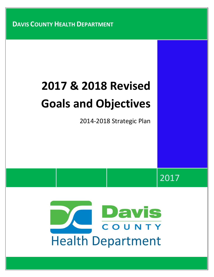**DAVIS COUNTY HEALTH DEPARTMENT**

# **2017 & 2018 Revised Goals and Objectives**

2014-2018 Strategic Plan

2017

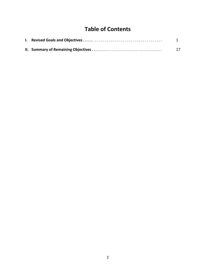# **Table of Contents**

|  | 17 |
|--|----|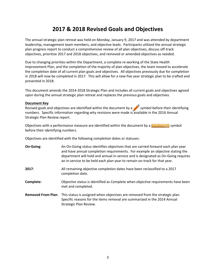# **2017 & 2018 Revised Goals and Objectives**

The annual strategic plan retreat was held on Monday, January 9, 2017 and was attended by department leadership, management team members, and objective leads. Participants utilized the annual strategic plan progress report to conduct a comprehensive review of all plan objectives, discuss off-track objectives, prioritize 2017 and 2018 objectives, and removed or amended objectives as needed.

Due to changing priorities within the Department, a complete re-working of the State Health Improvement Plan, and the completion of the majority of plan objectives, the team moved to accelerate the completion date of all current plan goals and objectives. All objectives previously due for completion in 2018 will now be completed in 2017. This will allow for a new five year strategic plan to be crafted and presented in 2018.

This document amends the 2014-2018 Strategic Plan and includes all current goals and objectives agreed upon during the annual strategic plan retreat and replaces the previous goals and objectives.

#### **Document Key**

Revised goals and objectives are identified within the document by a symbol before their identifying numbers. Specific information regarding why revisions were made is available in the 2016 Annual Strategic Plan Review report.

Objectives with a performance measure are identified within the document by a  $\left[$ . In the symbol before their identifying numbers.

Objectives are identified with the following completion dates or statuses:

| On-Going: | An On-Going status identifies objectives that are carried forward each plan year<br>and have annual completion requirements. For example an objective stating the<br>department will hold and annual in-service and is designated as On-Going requires<br>an in-service to be held each plan year to remain on-track for that year. |
|-----------|-------------------------------------------------------------------------------------------------------------------------------------------------------------------------------------------------------------------------------------------------------------------------------------------------------------------------------------|
| 2017:     | All remaining objective completion dates have been reclassified to a 2017<br>completion date.                                                                                                                                                                                                                                       |
| Complete: | Objective status is identified as Complete when objective requirements have been<br>met and completed.                                                                                                                                                                                                                              |
|           | Removed From Plan: This status is assigned when objectives are removed from the strategic plan.<br>Specific reasons for the items removal are summarized in the 2014 Annual<br>Strategic Plan Review.                                                                                                                               |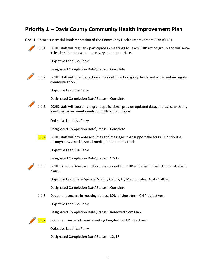### **Priority 1 – Davis County Community Health Improvement Plan**

**Goal 1** Ensure successful implementation of the Community Health Improvement Plan (CHIP).



1.1.1 DCHD staff will regularly participate in meetings for each CHIP action group and will serve in leadership roles when necessary and appropriate.

Objective Lead: Isa Perry

Designated Completion Date\Status: Complete

1.1.2 DCHD staff will provide technical support to action group leads and will maintain regular communication.

Objective Lead: Isa Perry

Designated Completion Date\Status: Complete

1.1.3 DCHD staff will coordinate grant applications, provide updated data, and assist with any identified assessment needs for CHIP action groups.

Objective Lead: Isa Perry

Designated Completion Date\Status: Complete

**1.1.4** DCHD staff will promote activities and messages that support the four CHIP priorities through news media, social media, and other channels.

Objective Lead: Isa Perry

Designated Completion Date\Status: 12/17

1.1.5 DCHD Division Directors will include support for CHIP activities in their division strategic plans.

Objective Lead: Dave Spence, Wendy Garcia, Ivy Melton Sales, Kristy Cottrell

Designated Completion Date\Status: Complete

1.1.6 Document success in meeting at least 80% of short-term CHIP objectives.

Objective Lead: Isa Perry

Designated Completion Date\Status: Removed from Plan

1.1.7 Document success toward meeting long-term CHIP objectives.

Objective Lead: Isa Perry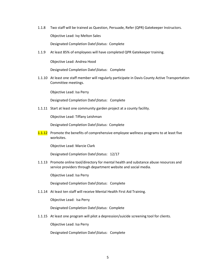1.1.8 Two staff will be trained as Question, Persuade, Refer (QPR) Gatekeeper Instructors. Objective Lead: Ivy Melton Sales

Designated Completion Date\Status: Complete

1.1.9 At least 85% of employees will have completed QPR Gatekeeper training.

Objective Lead: Andrea Hood

Designated Completion Date\Status: Complete

1.1.10 At least one staff member will regularly participate in Davis County Active Transportation Committee meetings.

Objective Lead: Isa Perry

Designated Completion Date\Status: Complete

1.1.11 Start at least one community garden project at a county facility.

Objective Lead: Tiffany Leishman

Designated Completion Date\Status: Complete

**1.1.12** Promote the benefits of comprehensive employee wellness programs to at least five worksites.

Objective Lead: Marcie Clark

Designated Completion Date\Status: 12/17

1.1.13 Promote online tool/directory for mental health and substance abuse resources and service providers through department website and social media.

Objective Lead: Isa Perry

Designated Completion Date\Status: Complete

1.1.14 At least ten staff will receive Mental Health First Aid Training.

Objective Lead: Isa Perry

Designated Completion Date\Status: Complete

1.1.15 At least one program will pilot a depression/suicide screening tool for clients.

Objective Lead: Isa Perry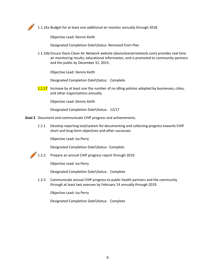

1.1.16a Budget for at least one additional air monitor annually through 2018.

Objective Lead: Dennis Keith

Designated Completion Date\Status: Removed from Plan

1.1.16b Ensure Davis Clean Air Network website (daviscleanairnetwork.com) provides real time air monitoring results, educational information, and is promoted to community partners and the public by December 31, 2015.

Objective Lead: Dennis Keith

Designated Completion Date\Status: Complete

**1.1.17** Increase by at least one the number of no idling policies adopted by businesses, cities, and other organizations annually.

Objective Lead: Dennis Keith

Designated Completion Date\Status: 12/17

- **Goal 2** Document and communicate CHIP progress and achievements.
	- 1.2.1 Develop reporting tool/system for documenting and collecting progress towards CHIP short and long-term objectives and other successes.

Objective Lead: Isa Perry

Designated Completion Date\Status: Complete



1.2.2 Prepare an annual CHIP progress report through 2019.

Objective Lead: Isa Perry

Designated Completion Date\Status: Complete

1.2.3 Communicate annual CHIP progress to public health partners and the community through at least two avenues by February 14 annually through 2019.

Objective Lead: Isa Perry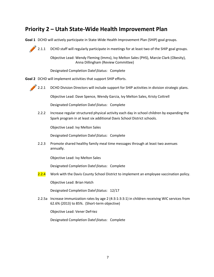## **Priority 2 – Utah State-Wide Health Improvement Plan**

**Goal 1** DCHD will actively participate in State-Wide Health Improvement Plan (SHIP) goal groups.

2.1.1 DCHD staff will regularly participate in meetings for at least two of the SHIP goal groups.

Objective Lead: Wendy Fleming (Imms), Ivy Melton Sales (PHS), Marcie Clark (Obesity), Anna Dillingham (Review Committee)

Designated Completion Date\Status: Complete

**Goal 2** DCHD will implement activities that support SHIP efforts.



2.2.1 DCHD Division Directors will include support for SHIP activities in division strategic plans.

Objective Lead: Dave Spence, Wendy Garcia, Ivy Melton Sales, Kristy Cottrell

Designated Completion Date\Status: Complete

2.2.2 Increase regular structured physical activity each day in school children by expanding the Spark program in at least six additional Davis School District schools.

Objective Lead: Ivy Melton Sales

Designated Completion Date\Status: Complete

2.2.3 Promote shared healthy family meal time messages through at least two avenues annually.

Objective Lead: Ivy Melton Sales

Designated Completion Date\Status: Complete

2.2.4 Work with the Davis County School District to implement an employee vaccination policy.

Objective Lead: Brian Hatch

Designated Completion Date\Status: 12/17

2.2.5a Increase immunization rates by age 2 (4:3:1:3:3:1) in children receiving WIC services from 62.6% (2013) to 85%. (Short-term objective)

Objective Lead: Vener DeFriez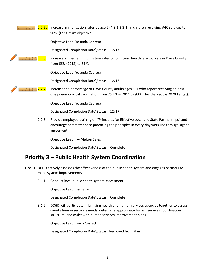#### **2.2.5b** Increase immunization rates by age 2 (4:3:1:3:3:1) in children receiving WIC services to 90%. (Long-term objective)

Objective Lead: Yolanda Cabrera

Designated Completion Date\Status: 12/17

**2.2.6** Increase influenza immunization rates of long-term healthcare workers in Davis County from 66% (2012) to 85%.

Objective Lead: Yolanda Cabrera

Designated Completion Date\Status: 12/17



**Bulletin 19.2.7** Increase the percentage of Davis County adults ages 65+ who report receiving at least one pneumococcal vaccination from 75.1% in 2011 to 90% (Healthy People 2020 Target).

Objective Lead: Yolanda Cabrera

Designated Completion Date\Status: 12/17

2.2.8 Provide employee training on "Principles for Effective Local and State Partnerships" and encourage commitment to practicing the principles in every-day work-life through signed agreement.

Objective Lead: Ivy Melton Sales

Designated Completion Date\Status: Complete

## **Priority 3 – Public Health System Coordination**

- **Goal 1** DCHD actively assesses the effectiveness of the public health system and engages partners to make system improvements.
	- 3.1.1 Conduct local public health system assessment.

Objective Lead: Isa Perry

Designated Completion Date\Status: Complete

3.1.2 DCHD will participate in bringing health and human services agencies together to assess county human service's needs, determine appropriate human services coordination structure, and assist with human services improvement plans.

Objective Lead: Lewis Garrett

Designated Completion Date\Status: Removed from Plan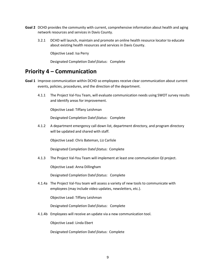- **Goal 2** DCHD provides the community with current, comprehensive information about health and aging network resources and services in Davis County.
	- 3.2.1 DCHD will launch, maintain and promote an online health resource locator to educate about existing health resources and services in Davis County.

Objective Lead: Isa Perry

Designated Completion Date\Status: Complete

#### **Priority 4 – Communication**

- **Goal 1** Improve communication within DCHD so employees receive clear communication about current events, policies, procedures, and the direction of the department.
	- 4.1.1 The Project Val-You Team, will evaluate communication needs using SWOT survey results and identify areas for improvement.

Objective Lead: Tiffany Leishman

Designated Completion Date\Status: Complete

4.1.2 A department emergency call down list, department directory, and program directory will be updated and shared with staff.

Objective Lead: Chris Bateman, Liz Carlisle

Designated Completion Date\Status: Complete

4.1.3 The Project Val-You Team will implement at least one communication QI project.

Objective Lead: Anna Dillingham

Designated Completion Date\Status: Complete

4.1.4a The Project Val-You team will assess a variety of new tools to communicate with employees (may include video updates, newsletters, etc.).

Objective Lead: Tiffany Leishman

Designated Completion Date\Status: Complete

4.1.4b Employees will receive an update via a new communication tool.

Objective Lead: Linda Ebert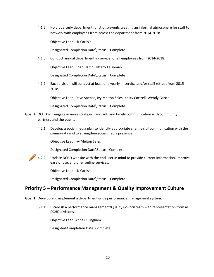4.1.5 Hold quarterly department functions/events creating an informal atmosphere for staff to network with employees from across the department from 2014-2018.

Objective Lead: Liz Carlisle

Designated Completion Date\Status: Complete

4.1.6 Conduct annual department in-service for all employees from 2014-2018.

Objective Lead: Brian Hatch, Tiffany Leishman

Designated Completion Date\Status: Complete

4.1.7 Each division will conduct at least one yearly in-service and/or staff retreat from 2015- 2018.

Objective Lead: Dave Spence, Ivy Melton Sales, Kristy Cottrell, Wendy Garcia

Designated Completion Date\Status: Complete

- **Goal 2** DCHD will engage in more strategic, relevant, and timely communication with community partners and the public.
	- 4.2.1 Develop a social media plan to identify appropriate channels of communication with the community and to strengthen social media presence.

Objective Lead: Ivy Melton Sales

Designated Completion Date\Status: Complete

4.2.2 Update DCHD website with the end user in mind to provide current information, improve ease of use, and offer online services.

Objective Lead: Liz Carlisle

Designated Completion Date\Status: Complete

#### **Priority 5 – Performance Management & Quality Improvement Culture**

**Goal 1** Develop and implement a department-wide performance management system.

5.1.1 Establish a performance management/Quality Council team with representation from all DCHD divisions.

Objective Lead: Anna Dillingham

Designted Completion Date: Complete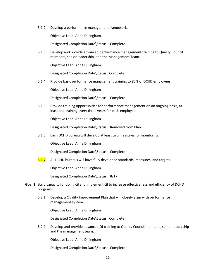5.1.2 Develop a performance management framework.

Objective Lead: Anna Dillingham

Designated Completion Date\Status: Complete

5.1.3 Develop and provide advanced performance management training to Quality Council members, senior leadership, and the Management Team.

Objective Lead: Anna Dillingham

Designated Completion Date\Status: Complete

5.1.4 Provide basic performance management training to 85% of DCHD employees.

Objective Lead: Anna Dillingham

Designated Completion Date\Status: Complete

5.1.5 Provide training opportunities for performance management on an ongoing basis, at least one training every three years for each employee.

Objective Lead: Anna Dillingham

Designated Completion Date\Status: Removed from Plan

5.1.6 Each DCHD bureau will develop at least two measures for monitoring.

Objective Lead: Anna Dillingham

Designated Completion Date\Status: Complete

5.1.7 All DCHD bureaus will have fully developed standards, measures, and targets.

Objective Lead: Anna Dillingham

Designated Completion Date\Status: 8/17

- **Goal 2** Build capacity for doing QI and implement QI to increase effectiveness and efficiency of DCHD programs.
	- 5.2.1 Develop a Quality Improvement Plan that will closely align with performance management system.

Objective Lead: Anna Dillingham

Designated Completion Date\Status: Complete

5.2.2 Develop and provide advanced QI training to Quality Council members, senior leadership and the management team.

Objective Lead: Anna Dillingham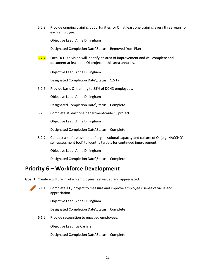5.2.3 Provide ongoing training opportunities for QI, at least one training every three years for each employee.

Objective Lead: Anna Dillingham

Designated Completion Date\Status: Removed from Plan

5.2.4 Each DCHD division will identify an area of improvement and will complete and document at least one QI project in this area annually.

Objective Lead: Anna Dillingham

Designated Completion Date\Status: 12/17

5.2.5 Provide basic QI training to 85% of DCHD employees.

Objective Lead: Anna Dillingham

Designated Completion Date\Status: Complete

5.2.6 Complete at least one department-wide QI project.

Objective Lead: Anna Dillingham

Designated Completion Date\Status: Complete

5.2.7 Conduct a self-assessment of organizational capacity and culture of QI (e.g. NACCHO's self-assessment tool) to identify targets for continued improvement.

Objective Lead: Anna Dillingham

Designated Completion Date\Status: Complete

#### **Priority 6 – Workforce Development**

**Goal 1** Create a culture in which employees feel valued and appreciated.



6.1.1 Complete a QI project to measure and improve employees' sense of value and appreciation.

Objective Lead: Anna Dillingham

Designated Completion Date\Status: Complete

6.1.2 Provide recognition to engaged employees.

Objective Lead: Liz Carlisle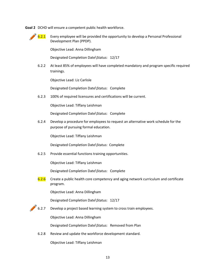**Goal 2** DCHD will ensure a competent public health workforce.



 $\bigotimes$  6.2.1 Every employee will be provided the opportunity to develop a Personal Professional Development Plan (PPDP).

Objective Lead: Anna Dillingham

Designated Completion Date\Status: 12/17

6.2.2 At least 85% of employees will have completed mandatory and program specific required trainings.

Objective Lead: Liz Carlisle

Designated Completion Date\Status: Complete

6.2.3 100% of required licensures and certifications will be current.

Objective Lead: Tiffany Leishman

Designated Completion Date\Status: Complete

6.2.4 Develop a procedure for employees to request an alternative work schedule for the purpose of pursuing formal education.

Objective Lead: Tiffany Leishman

Designated Completion Date\Status: Complete

6.2.5 Provide essential functions training opportunities.

Objective Lead: Tiffany Leishman

Designated Completion Date\Status: Complete

6.2.6 Create a public health core competency and aging network curriculum and certificate program.

Objective Lead: Anna Dillingham

Designated Completion Date\Status: 12/17

6.2.7 Develop a project based learning system to cross train employees.

Objective Lead: Anna Dillingham

Designated Completion Date\Status: Removed from Plan

6.2.8 Review and update the workforce development standard.

Objective Lead: Tiffany Leishman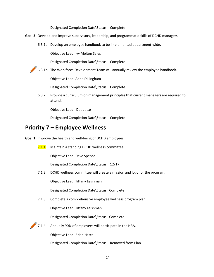Designated Completion Date\Status: Complete

- **Goal 3** Develop and improve supervisory, leadership, and programmatic skills of DCHD managers.
	- 6.3.1a Develop an employee handbook to be implemented department-wide.

Objective Lead: Ivy Melton Sales

Designated Completion Date\Status: Complete

6.3.1b The Workforce Development Team will annually review the employee handbook.

Objective Lead: Anna Dillingham

Designated Completion Date\Status: Complete

6.3.2 Provide a curriculum on management principles that current managers are required to attend.

Objective Lead: Dee Jette

Designated Completion Date\Status: Complete

#### **Priority 7 – Employee Wellness**

**Goal 1** Improve the health and well-being of DCHD employees.

7.1.1 Maintain a standing DCHD wellness committee.

Objective Lead: Dave Spence

Designated Completion Date\Status: 12/17

7.1.2 DCHD wellness committee will create a mission and logo for the program.

Objective Lead: Tiffany Leishman

Designated Completion Date\Status: Complete

7.1.3 Complete a comprehensive employee wellness program plan.

Objective Lead: Tiffany Leishman

Designated Completion Date\Status: Complete



Objective Lead: Brian Hatch

Designated Completion Date\Status: Removed from Plan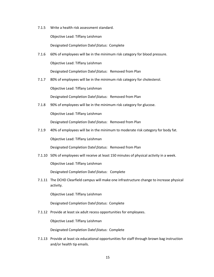7.1.5 Write a health risk assessment standard.

Objective Lead: Tiffany Leishman

Designated Completion Date\Status: Complete

- 7.1.6 60% of employees will be in the minimum risk category for blood pressure. Objective Lead: Tiffany Leishman Designated Completion Date\Status: Removed from Plan
- 7.1.7 80% of employees will be in the minimum risk category for cholesterol. Objective Lead: Tiffany Leishman Designated Completion Date\Status: Removed from Plan
- 7.1.8 90% of employees will be in the minimum risk category for glucose.

Objective Lead: Tiffany Leishman

Designated Completion Date\Status: Removed from Plan

7.1.9 40% of employees will be in the minimum to moderate risk category for body fat.

Objective Lead: Tiffany Leishman

Designated Completion Date\Status: Removed from Plan

7.1.10 50% of employees will receive at least 150 minutes of physical activity in a week.

Objective Lead: Tiffany Leishman

Designated Completion Date\Status: Complete

7.1.11 The DCHD Clearfield campus will make one infrastructure change to increase physical activity.

Objective Lead: Tiffany Leishman

Designated Completion Date\Status: Complete

7.1.12 Provide at least six adult recess opportunities for employees.

Objective Lead: Tiffany Leishman

Designated Completion Date\Status: Complete

7.1.13 Provide at least six educational opportunities for staff through brown bag instruction and/or health tip emails.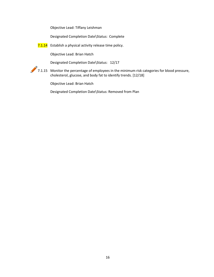Objective Lead: Tiffany Leishman

Designated Completion Date\Status: Complete

7.1.14 Establish a physical activity release time policy.

Objective Lead: Brian Hatch

Designated Completion Date\Status: 12/17

7.1.15 Monitor the percentage of employees in the minimum risk categories for blood pressure, cholesterol, glucose, and body fat to identify trends. [12/18]

Objective Lead: Brian Hatch

Designated Completion Date\Status: Removed from Plan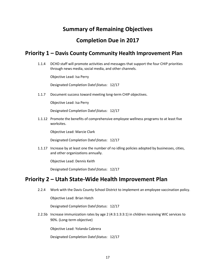## **Summary of Remaining Objectives**

## **Completion Due in 2017**

#### **Priority 1 – Davis County Community Health Improvement Plan**

1.1.4 DCHD staff will promote activities and messages that support the four CHIP priorities through news media, social media, and other channels.

Objective Lead: Isa Perry

Designated Completion Date\Status: 12/17

1.1.7 Document success toward meeting long-term CHIP objectives.

Objective Lead: Isa Perry

Designated Completion Date\Status: 12/17

1.1.12 Promote the benefits of comprehensive employee wellness programs to at least five worksites.

Objective Lead: Marcie Clark

Designated Completion Date\Status: 12/17

1.1.17 Increase by at least one the number of no idling policies adopted by businesses, cities, and other organizations annually.

Objective Lead: Dennis Keith

Designated Completion Date\Status: 12/17

#### **Priority 2 – Utah State-Wide Health Improvement Plan**

2.2.4 Work with the Davis County School District to implement an employee vaccination policy.

Objective Lead: Brian Hatch

Designated Completion Date\Status: 12/17

2.2.5b Increase immunization rates by age 2 (4:3:1:3:3:1) in children receiving WIC services to 90%. (Long-term objective)

Objective Lead: Yolanda Cabrera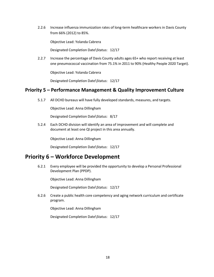2.2.6 Increase influenza immunization rates of long-term healthcare workers in Davis County from 66% (2012) to 85%.

Objective Lead: Yolanda Cabrera

Designated Completion Date\Status: 12/17

2.2.7 Increase the percentage of Davis County adults ages 65+ who report receiving at least one pneumococcal vaccination from 75.1% in 2011 to 90% (Healthy People 2020 Target).

Objective Lead: Yolanda Cabrera

Designated Completion Date\Status: 12/17

#### **Priority 5 – Performance Management & Quality Improvement Culture**

5.1.7 All DCHD bureaus will have fully developed standards, measures, and targets.

Objective Lead: Anna Dillingham

Designated Completion Date\Status: 8/17

5.2.4 Each DCHD division will identify an area of improvement and will complete and document at least one QI project in this area annually.

Objective Lead: Anna Dillingham

Designated Completion Date\Status: 12/17

#### **Priority 6 – Workforce Development**

6.2.1 Every employee will be provided the opportunity to develop a Personal Professional Development Plan (PPDP).

Objective Lead: Anna Dillingham

Designated Completion Date\Status: 12/17

6.2.6 Create a public health core competency and aging network curriculum and certificate program.

Objective Lead: Anna Dillingham